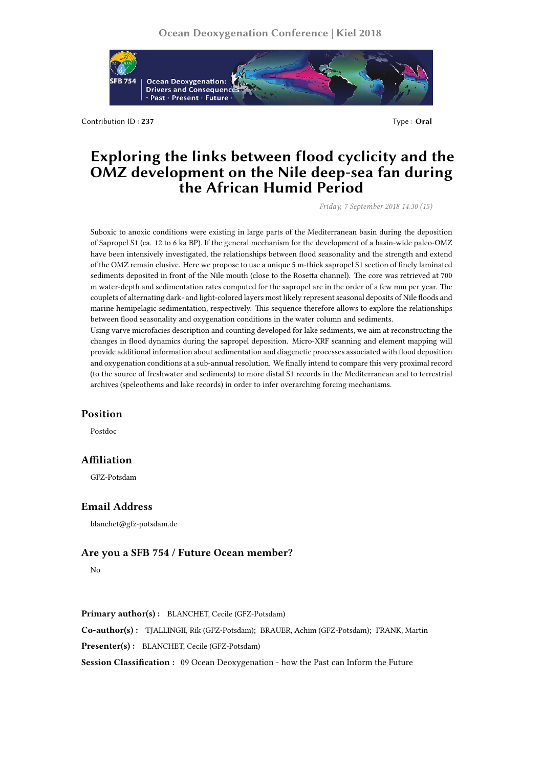

Contribution ID : **237** Type : **Oral**

# **Exploring the links between flood cyclicity and the OMZ development on the Nile deep-sea fan during the African Humid Period**

*Friday, 7 September 2018 14:30 (15)*

Suboxic to anoxic conditions were existing in large parts of the Mediterranean basin during the deposition of Sapropel S1 (ca. 12 to 6 ka BP). If the general mechanism for the development of a basin-wide paleo-OMZ have been intensively investigated, the relationships between flood seasonality and the strength and extend of the OMZ remain elusive. Here we propose to use a unique 5 m-thick sapropel S1 section of finely laminated sediments deposited in front of the Nile mouth (close to the Rosetta channel). The core was retrieved at 700 m water-depth and sedimentation rates computed for the sapropel are in the order of a few mm per year. The couplets of alternating dark- and light-colored layers most likely represent seasonal deposits of Nile floods and marine hemipelagic sedimentation, respectively. This sequence therefore allows to explore the relationships between flood seasonality and oxygenation conditions in the water column and sediments.

Using varve microfacies description and counting developed for lake sediments, we aim at reconstructing the changes in flood dynamics during the sapropel deposition. Micro-XRF scanning and element mapping will provide additional information about sedimentation and diagenetic processes associated with flood deposition and oxygenation conditions at a sub-annual resolution. We finally intend to compare this very proximal record (to the source of freshwater and sediments) to more distal S1 records in the Mediterranean and to terrestrial archives (speleothems and lake records) in order to infer overarching forcing mechanisms.

### **Position**

Postdoc

## **Affiliation**

GFZ-Potsdam

### **Email Address**

blanchet@gfz-potsdam.de

# **Are you a SFB 754 / Future Ocean member?**

No

**Primary author(s) :** BLANCHET, Cecile (GFZ-Potsdam)

**Co-author(s) :** TJALLINGII, Rik (GFZ-Potsdam); BRAUER, Achim (GFZ-Potsdam); FRANK, Martin **Presenter(s) :** BLANCHET, Cecile (GFZ-Potsdam)

**Session Classification :** 09 Ocean Deoxygenation - how the Past can Inform the Future